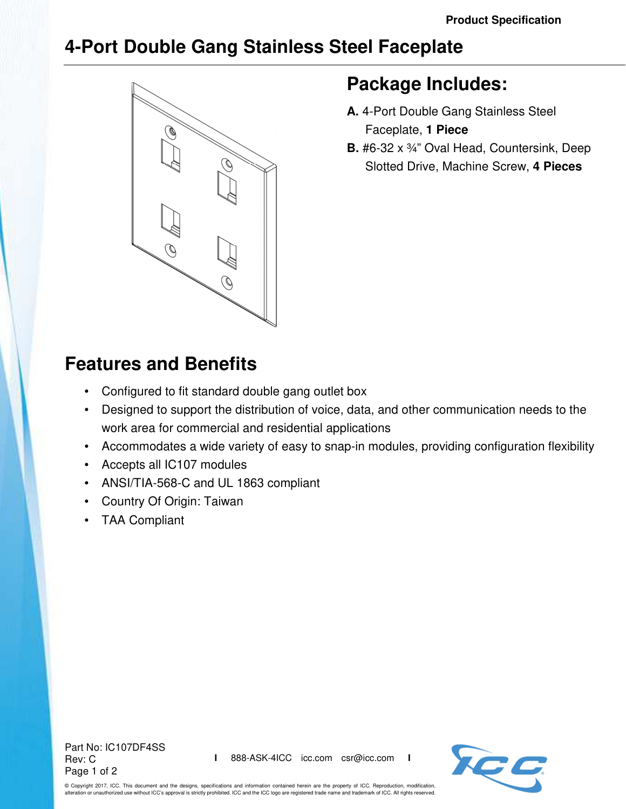## **4-Port Double Gang Stainless Steel Faceplate**



## **Package Includes:**

- **A.** 4-Port Double Gang Stainless Steel Faceplate, **1 Piece**
- **B.** #6-32 x ¾" Oval Head, Countersink, Deep Slotted Drive, Machine Screw, **4 Pieces**

## **Features and Benefits**

- Configured to fit standard double gang outlet box
- Designed to support the distribution of voice, data, and other communication needs to the work area for commercial and residential applications
- Accommodates a wide variety of easy to snap-in modules, providing configuration flexibility
- Accepts all IC107 modules
- ANSI/TIA-568-C and UL 1863 compliant
- Country Of Origin: Taiwan
- TAA Compliant

Part No: IC107DF4SS Rev: C Page 1 of 2



© Copyright 2017, ICC. This document and the designs, specifications and information contained herein are the property of ICC. Reproduction, modification, alteration or unauthorized use without ICC's approval is strictly prohibited. ICC and the ICC logo are registered trade name and trademark of ICC. All rights reserved.